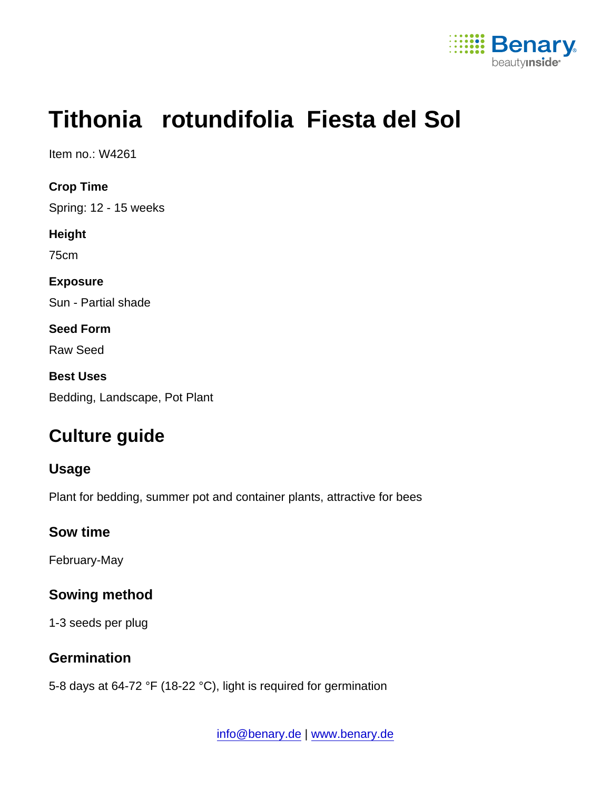

# Tithonia rotundifolia Fiesta del Sol

Item no.: W4261

Crop Time Spring: 12 - 15 weeks Height 75cm Exposure Sun - Partial shade Seed Form Raw Seed Best Uses Bedding, Landscape, Pot Plant

## Culture guide

Usage

Plant for bedding, summer pot and container plants, attractive for bees

Sow time

February-May

Sowing method

1-3 seeds per plug

**Germination** 

5-8 days at 64-72 °F (18-22 °C), light is required for germination